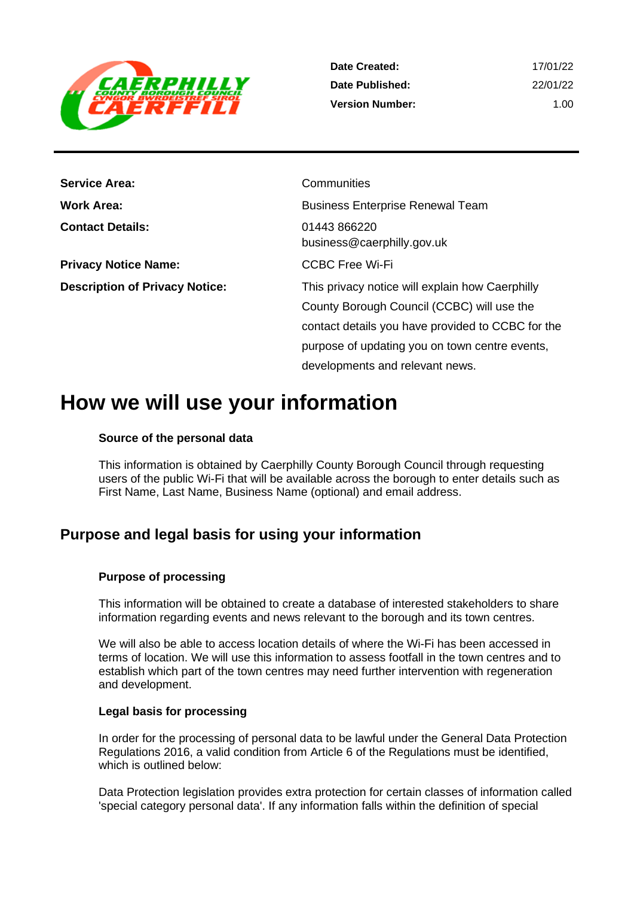

| Date Created:          | 17/01/22 |
|------------------------|----------|
| Date Published:        | 22/01/22 |
| <b>Version Number:</b> | 1.00     |

| <b>Service Area:</b>                  | Communities                                       |
|---------------------------------------|---------------------------------------------------|
| <b>Work Area:</b>                     | <b>Business Enterprise Renewal Team</b>           |
| <b>Contact Details:</b>               | 01443 866220<br>business@caerphilly.gov.uk        |
| <b>Privacy Notice Name:</b>           | <b>CCBC Free Wi-Fi</b>                            |
| <b>Description of Privacy Notice:</b> | This privacy notice will explain how Caerphilly   |
|                                       | County Borough Council (CCBC) will use the        |
|                                       | contact details you have provided to CCBC for the |
|                                       | purpose of updating you on town centre events,    |
|                                       | developments and relevant news.                   |

## **How we will use your information**

## **Source of the personal data**

This information is obtained by Caerphilly County Borough Council through requesting users of the public Wi-Fi that will be available across the borough to enter details such as First Name, Last Name, Business Name (optional) and email address.

## **Purpose and legal basis for using your information**

## **Purpose of processing**

This information will be obtained to create a database of interested stakeholders to share information regarding events and news relevant to the borough and its town centres.

We will also be able to access location details of where the Wi-Fi has been accessed in terms of location. We will use this information to assess footfall in the town centres and to establish which part of the town centres may need further intervention with regeneration and development.

## **Legal basis for processing**

In order for the processing of personal data to be lawful under the General Data Protection Regulations 2016, a valid condition from Article 6 of the Regulations must be identified, which is outlined below:

Data Protection legislation provides extra protection for certain classes of information called 'special category personal data'. If any information falls within the definition of special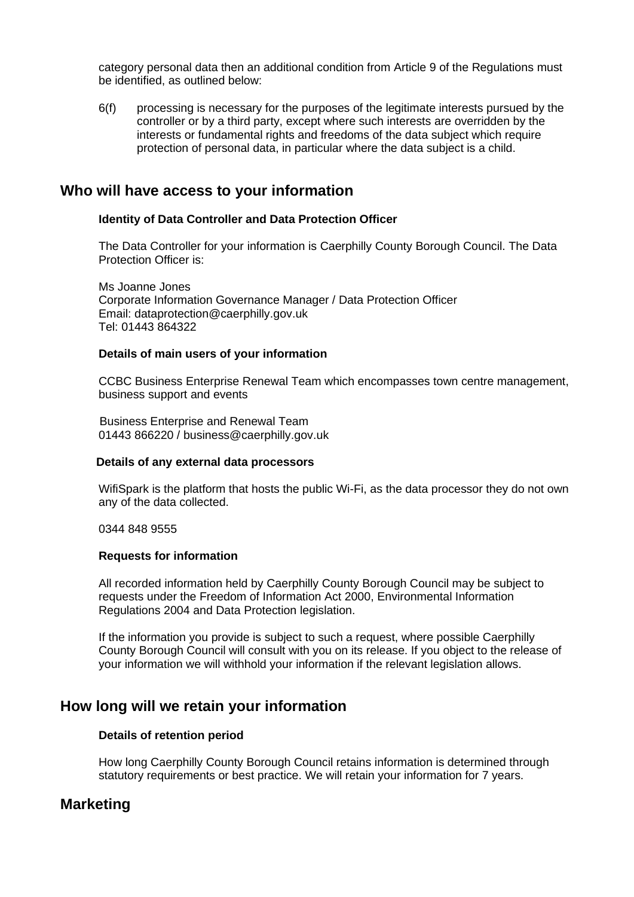category personal data then an additional condition from Article 9 of the Regulations must be identified, as outlined below:

6(f) processing is necessary for the purposes of the legitimate interests pursued by the controller or by a third party, except where such interests are overridden by the interests or fundamental rights and freedoms of the data subject which require protection of personal data, in particular where the data subject is a child.

## **Who will have access to your information**

## **Identity of Data Controller and Data Protection Officer**

The Data Controller for your information is Caerphilly County Borough Council. The Data Protection Officer is:

Ms Joanne Jones Corporate Information Governance Manager / Data Protection Officer Email: dataprotection@caerphilly.gov.uk Tel: 01443 864322

#### **Details of main users of your information**

CCBC Business Enterprise Renewal Team which encompasses town centre management, business support and events

 Business Enterprise and Renewal Team 01443 866220 / business@caerphilly.gov.uk

#### **Details of any external data processors**

WifiSpark is the platform that hosts the public Wi-Fi, as the data processor they do not own any of the data collected.

0344 848 9555

#### **Requests for information**

All recorded information held by Caerphilly County Borough Council may be subject to requests under the Freedom of Information Act 2000, Environmental Information Regulations 2004 and Data Protection legislation.

If the information you provide is subject to such a request, where possible Caerphilly County Borough Council will consult with you on its release. If you object to the release of your information we will withhold your information if the relevant legislation allows.

## **How long will we retain your information**

#### **Details of retention period**

How long Caerphilly County Borough Council retains information is determined through statutory requirements or best practice. We will retain your information for 7 years.

## **Marketing**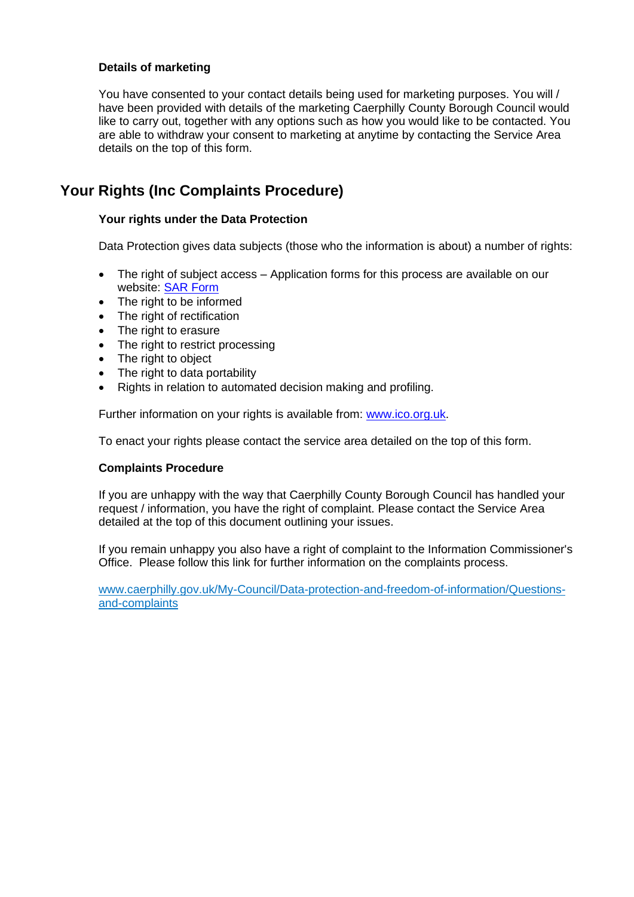## **Details of marketing**

You have consented to your contact details being used for marketing purposes. You will / have been provided with details of the marketing Caerphilly County Borough Council would like to carry out, together with any options such as how you would like to be contacted. You are able to withdraw your consent to marketing at anytime by contacting the Service Area details on the top of this form.

## **Your Rights (Inc Complaints Procedure)**

## **Your rights under the Data Protection**

Data Protection gives data subjects (those who the information is about) a number of rights:

- The right of subject access Application forms for this process are available on our website: [SAR Form](http://www.caerphilly.gov.uk/CaerphillyDocs/Council-and-democracy/sar_form.aspx)
- The right to be informed
- The right of rectification
- The right to erasure
- The right to restrict processing
- The right to object
- The right to data portability
- Rights in relation to automated decision making and profiling.

Further information on your rights is available from: [www.ico.org.uk.](http://www.ico.org.uk/)

To enact your rights please contact the service area detailed on the top of this form.

## **Complaints Procedure**

If you are unhappy with the way that Caerphilly County Borough Council has handled your request / information, you have the right of complaint. Please contact the Service Area detailed at the top of this document outlining your issues.

If you remain unhappy you also have a right of complaint to the Information Commissioner's Office. Please follow this link for further information on the complaints process.

[www.caerphilly.gov.uk/My-Council/Data-protection-and-freedom-of-information/Questions](http://www.caerphilly.gov.uk/My-Council/Data-protection-and-freedom-of-information/Questions-and-complaints)[and-complaints](http://www.caerphilly.gov.uk/My-Council/Data-protection-and-freedom-of-information/Questions-and-complaints)